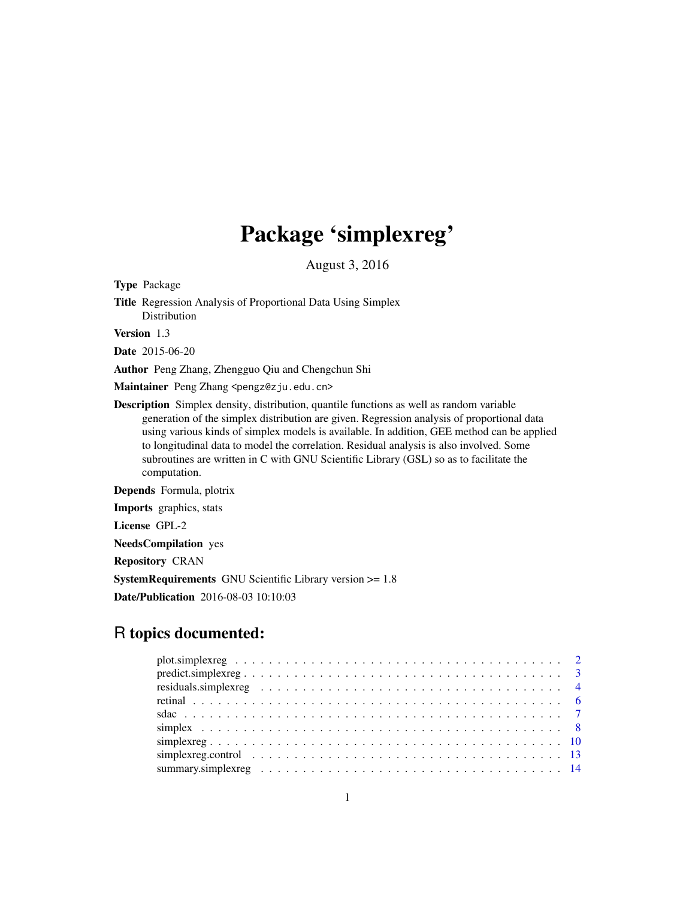# Package 'simplexreg'

August 3, 2016

<span id="page-0-0"></span>Type Package

Title Regression Analysis of Proportional Data Using Simplex Distribution

Version 1.3

Date 2015-06-20

Author Peng Zhang, Zhengguo Qiu and Chengchun Shi

Maintainer Peng Zhang <pengz@zju.edu.cn>

Description Simplex density, distribution, quantile functions as well as random variable generation of the simplex distribution are given. Regression analysis of proportional data using various kinds of simplex models is available. In addition, GEE method can be applied to longitudinal data to model the correlation. Residual analysis is also involved. Some subroutines are written in C with GNU Scientific Library (GSL) so as to facilitate the computation.

Depends Formula, plotrix

Imports graphics, stats

License GPL-2

NeedsCompilation yes

Repository CRAN

SystemRequirements GNU Scientific Library version >= 1.8

Date/Publication 2016-08-03 10:10:03

# R topics documented: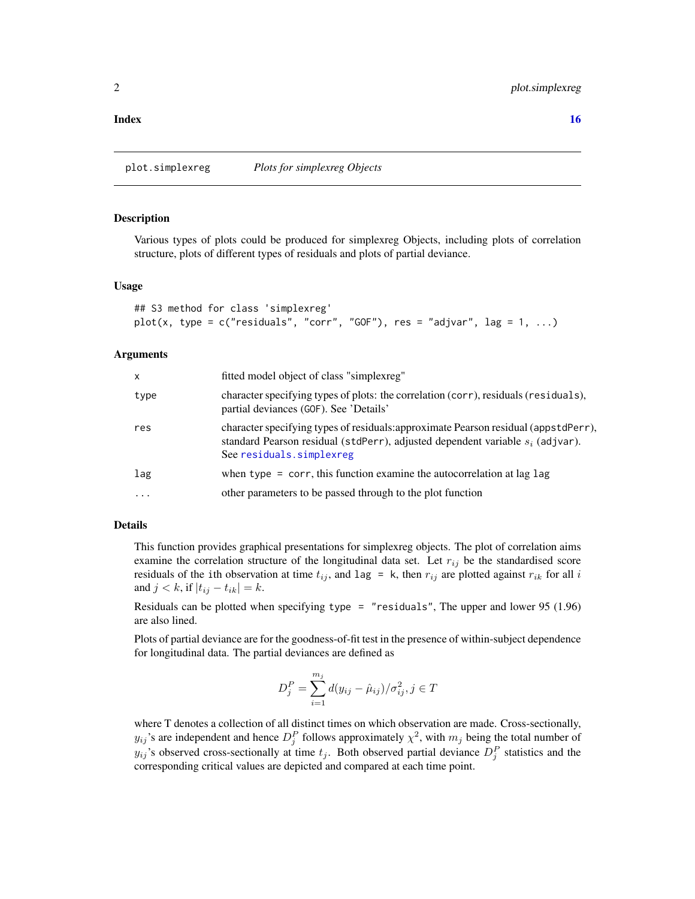<span id="page-1-0"></span>**Index** the contract of the contract of the contract of the contract of the contract of the contract of the contract of the contract of the contract of the contract of the contract of the contract of the contract of the co

plot.simplexreg *Plots for simplexreg Objects*

#### Description

Various types of plots could be produced for simplexreg Objects, including plots of correlation structure, plots of different types of residuals and plots of partial deviance.

#### Usage

```
## S3 method for class 'simplexreg'
plot(x, type = c("residuals", "corr", "GOF"), res = "adjvar", lag = 1, ...)
```
#### Arguments

| x    | fitted model object of class "simplexreg"                                                                                                                                                           |
|------|-----------------------------------------------------------------------------------------------------------------------------------------------------------------------------------------------------|
| type | character specifying types of plots: the correlation (corr), residuals (residuals),<br>partial deviances (GOF). See 'Details'                                                                       |
| res  | character specifying types of residuals: approximate Pearson residual (appstdPerr),<br>standard Pearson residual (stdPerr), adjusted dependent variable $s_i$ (adjvar).<br>See residuals.simplexreg |
| lag  | when type $=$ corr, this function examine the autocorrelation at lag lag                                                                                                                            |
| .    | other parameters to be passed through to the plot function                                                                                                                                          |
|      |                                                                                                                                                                                                     |

# Details

This function provides graphical presentations for simplexreg objects. The plot of correlation aims examine the correlation structure of the longitudinal data set. Let  $r_{ij}$  be the standardised score residuals of the ith observation at time  $t_{ij}$ , and lag = k, then  $r_{ij}$  are plotted against  $r_{ik}$  for all i and  $j < k$ , if  $|t_{ij} - t_{ik}| = k$ .

Residuals can be plotted when specifying type = "residuals", The upper and lower 95 (1.96) are also lined.

Plots of partial deviance are for the goodness-of-fit test in the presence of within-subject dependence for longitudinal data. The partial deviances are defined as

$$
D_j^P = \sum_{i=1}^{m_j} d(y_{ij} - \hat{\mu}_{ij}) / \sigma_{ij}^2, j \in T
$$

where T denotes a collection of all distinct times on which observation are made. Cross-sectionally,  $y_{ij}$ 's are independent and hence  $D_j^P$  follows approximately  $\chi^2$ , with  $m_j$  being the total number of  $y_{ij}$ 's observed cross-sectionally at time  $t_j$ . Both observed partial deviance  $D_j^P$  statistics and the corresponding critical values are depicted and compared at each time point.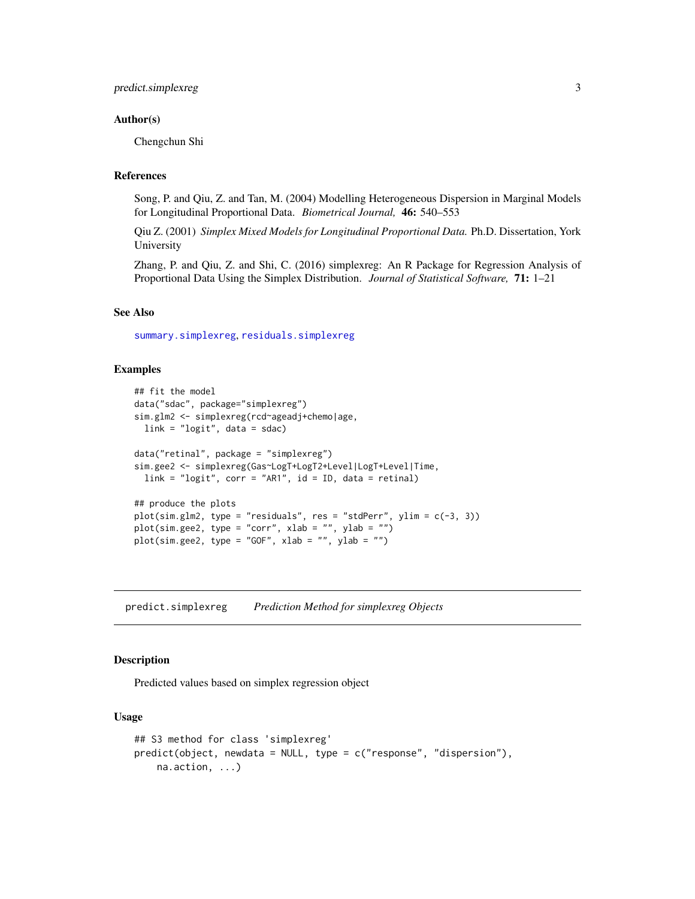# <span id="page-2-0"></span>Author(s)

Chengchun Shi

# References

Song, P. and Qiu, Z. and Tan, M. (2004) Modelling Heterogeneous Dispersion in Marginal Models for Longitudinal Proportional Data. *Biometrical Journal,* 46: 540–553

Qiu Z. (2001) *Simplex Mixed Models for Longitudinal Proportional Data.* Ph.D. Dissertation, York University

Zhang, P. and Qiu, Z. and Shi, C. (2016) simplexreg: An R Package for Regression Analysis of Proportional Data Using the Simplex Distribution. *Journal of Statistical Software,* 71: 1–21

# See Also

[summary.simplexreg](#page-13-1), [residuals.simplexreg](#page-3-1)

# Examples

```
## fit the model
data("sdac", package="simplexreg")
sim.glm2 <- simplexreg(rcd~ageadj+chemo|age,
  link = "logit", data = sdac)data("retinal", package = "simplexreg")
sim.gee2 <- simplexreg(Gas~LogT+LogT2+Level|LogT+Level|Time,
  link = "logit", corr = "ARI", id = ID, data = retinal)## produce the plots
plot(sim.glm2, type = "residuals", res = "stdPerr", ylim = c(-3, 3))
plot(sim.gee2, type = "corr", xlab = "", ylab = "")
plot(sim.gee2, type = "GOF", xlab = "", ylab = "")
```
predict.simplexreg *Prediction Method for simplexreg Objects*

# Description

Predicted values based on simplex regression object

# Usage

```
## S3 method for class 'simplexreg'
predict(object, newdata = NULL, type = c("response", "dispersion"),
    na.action, ...)
```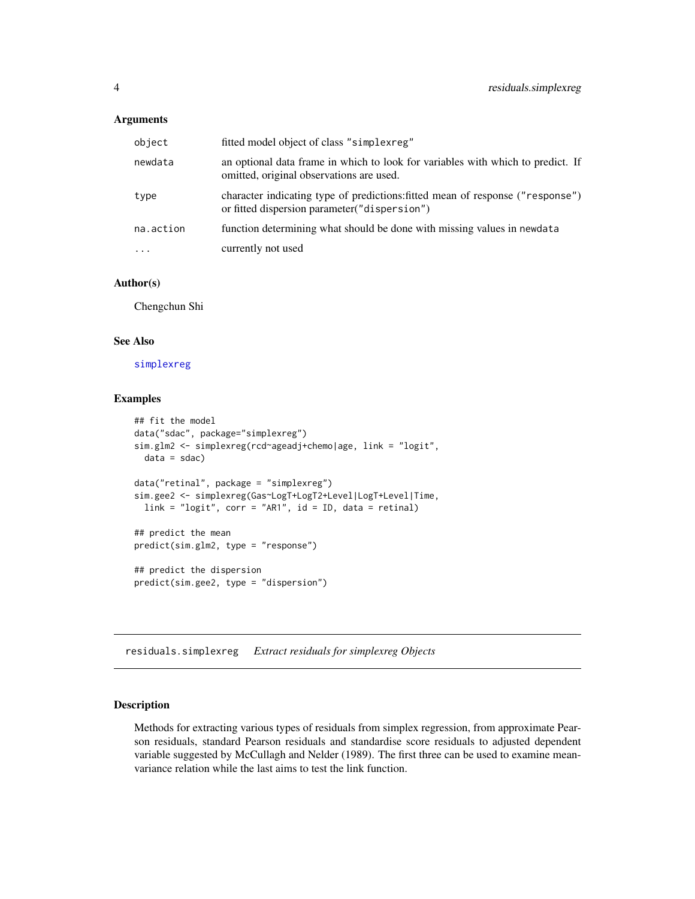# <span id="page-3-0"></span>Arguments

| object    | fitted model object of class "simplexreg"                                                                                       |
|-----------|---------------------------------------------------------------------------------------------------------------------------------|
| newdata   | an optional data frame in which to look for variables with which to predict. If<br>omitted, original observations are used.     |
| type      | character indicating type of predictions: fitted mean of response ("response")<br>or fitted dispersion parameter ("dispersion") |
| na.action | function determining what should be done with missing values in newdata                                                         |
| $\cdots$  | currently not used                                                                                                              |

# Author(s)

Chengchun Shi

#### See Also

[simplexreg](#page-9-1)

# Examples

```
## fit the model
data("sdac", package="simplexreg")
sim.glm2 <- simplexreg(rcd~ageadj+chemo|age, link = "logit",
 data = sdac)
data("retinal", package = "simplexreg")
sim.gee2 <- simplexreg(Gas~LogT+LogT2+Level|LogT+Level|Time,
  link = "logit", corr = "AR1", id = ID, data = retinal)## predict the mean
predict(sim.glm2, type = "response")
## predict the dispersion
predict(sim.gee2, type = "dispersion")
```
<span id="page-3-1"></span>residuals.simplexreg *Extract residuals for simplexreg Objects*

# Description

Methods for extracting various types of residuals from simplex regression, from approximate Pearson residuals, standard Pearson residuals and standardise score residuals to adjusted dependent variable suggested by McCullagh and Nelder (1989). The first three can be used to examine meanvariance relation while the last aims to test the link function.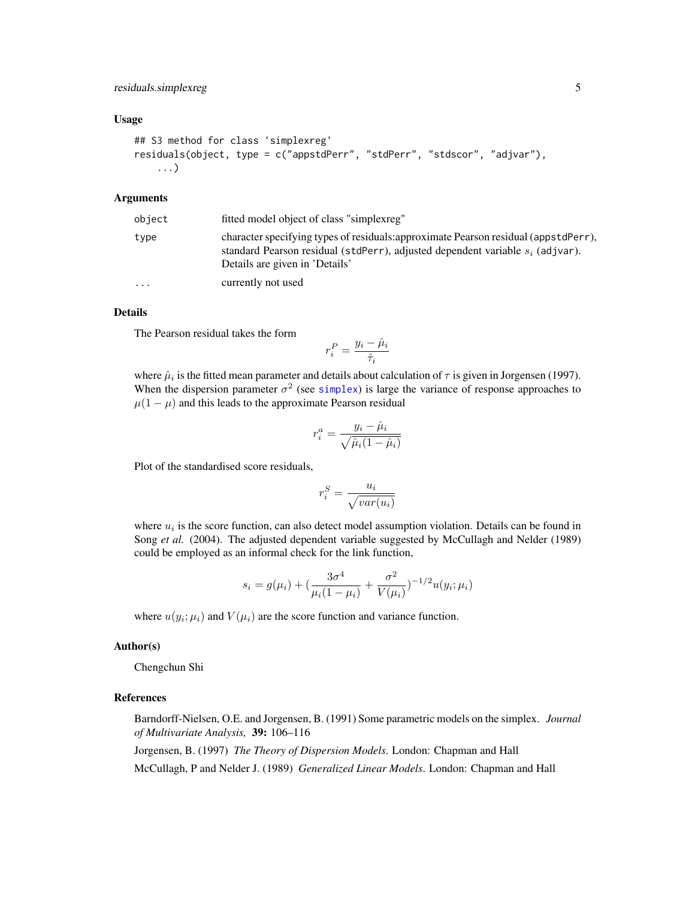# <span id="page-4-0"></span>residuals.simplexreg 5

# Usage

```
## S3 method for class 'simplexreg'
residuals(object, type = c("appstdPerr", "stdPerr", "stdscor", "adjvar"),
    ...)
```
# Arguments

| object    | fitted model object of class "simplexreg"                                                                                                                                                                 |
|-----------|-----------------------------------------------------------------------------------------------------------------------------------------------------------------------------------------------------------|
| type      | character specifying types of residuals: approximate Pearson residual (appstdPerr),<br>standard Pearson residual (stdPerr), adjusted dependent variable $s_i$ (adjvar).<br>Details are given in 'Details' |
| $\ddotsc$ | currently not used                                                                                                                                                                                        |

# Details

The Pearson residual takes the form

$$
r_i^P = \frac{y_i - \hat{\mu}_i}{\hat{\tau}_i}
$$

where  $\hat{\mu}_i$  is the fitted mean parameter and details about calculation of  $\tau$  is given in Jorgensen (1997). When the dispersion parameter  $\sigma^2$  (see [simplex](#page-7-1)) is large the variance of response approaches to  $\mu(1 - \mu)$  and this leads to the approximate Pearson residual

$$
r_i^a = \frac{y_i - \hat{\mu}_i}{\sqrt{\hat{\mu}_i (1 - \hat{\mu}_i)}}
$$

Plot of the standardised score residuals,

$$
r_i^S = \frac{u_i}{\sqrt{var(u_i)}}
$$

where  $u_i$  is the score function, can also detect model assumption violation. Details can be found in Song *et al.* (2004). The adjusted dependent variable suggested by McCullagh and Nelder (1989) could be employed as an informal check for the link function,

$$
s_i = g(\mu_i) + \left(\frac{3\sigma^4}{\mu_i(1-\mu_i)} + \frac{\sigma^2}{V(\mu_i)}\right)^{-1/2} u(y_i; \mu_i)
$$

where  $u(y_i; \mu_i)$  and  $V(\mu_i)$  are the score function and variance function.

# Author(s)

Chengchun Shi

# References

Barndorff-Nielsen, O.E. and Jorgensen, B. (1991) Some parametric models on the simplex. *Journal of Multivariate Analysis,* 39: 106–116

Jorgensen, B. (1997) *The Theory of Dispersion Models*. London: Chapman and Hall

McCullagh, P and Nelder J. (1989) *Generalized Linear Models*. London: Chapman and Hall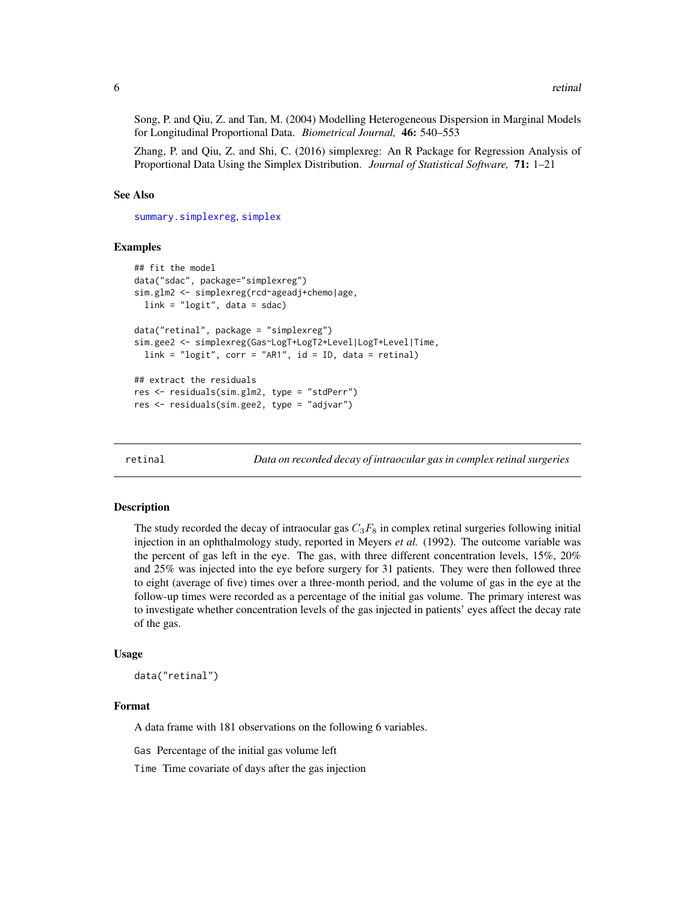<span id="page-5-0"></span>Song, P. and Qiu, Z. and Tan, M. (2004) Modelling Heterogeneous Dispersion in Marginal Models for Longitudinal Proportional Data. *Biometrical Journal,* 46: 540–553

Zhang, P. and Qiu, Z. and Shi, C. (2016) simplexreg: An R Package for Regression Analysis of Proportional Data Using the Simplex Distribution. *Journal of Statistical Software,* 71: 1–21

#### See Also

[summary.simplexreg](#page-13-1), [simplex](#page-7-1)

# Examples

```
## fit the model
data("sdac", package="simplexreg")
sim.glm2 <- simplexreg(rcd~ageadj+chemo|age,
 link = "logit", data = sdac)data("retinal", package = "simplexreg")
sim.gee2 <- simplexreg(Gas~LogT+LogT2+Level|LogT+Level|Time,
 link = "logit", corr = "ARI", id = ID, data = retinal)## extract the residuals
res <- residuals(sim.glm2, type = "stdPerr")
res <- residuals(sim.gee2, type = "adjvar")
```
retinal *Data on recorded decay of intraocular gas in complex retinal surgeries*

# **Description**

The study recorded the decay of intraocular gas  $C_3F_8$  in complex retinal surgeries following initial injection in an ophthalmology study, reported in Meyers *et al.* (1992). The outcome variable was the percent of gas left in the eye. The gas, with three different concentration levels, 15%, 20% and 25% was injected into the eye before surgery for 31 patients. They were then followed three to eight (average of five) times over a three-month period, and the volume of gas in the eye at the follow-up times were recorded as a percentage of the initial gas volume. The primary interest was to investigate whether concentration levels of the gas injected in patients' eyes affect the decay rate of the gas.

#### Usage

data("retinal")

#### Format

A data frame with 181 observations on the following 6 variables.

Gas Percentage of the initial gas volume left

Time Time covariate of days after the gas injection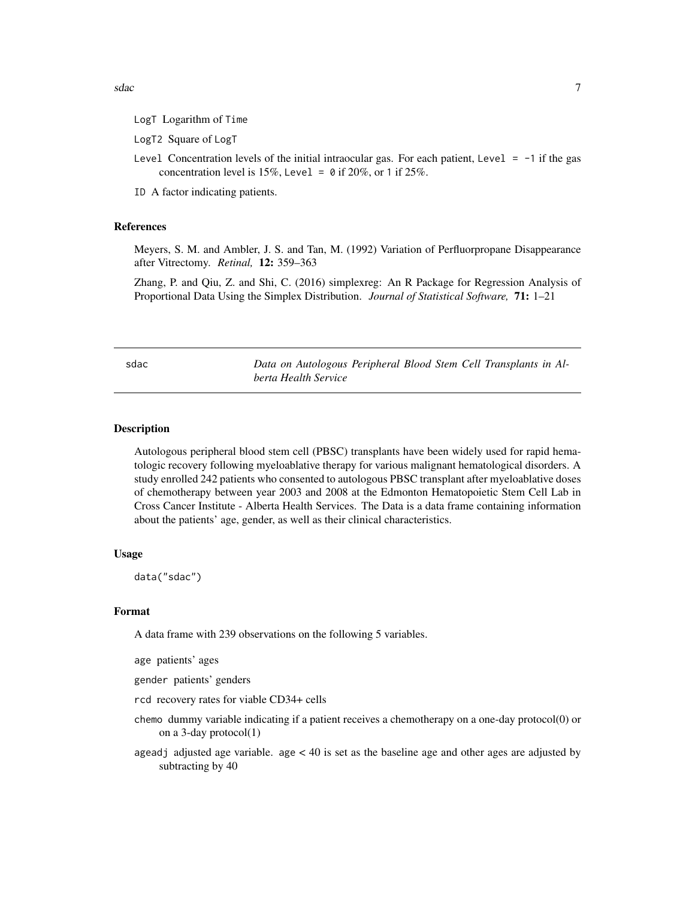<span id="page-6-0"></span>sdac 7 and 7 and 7 and 7 and 7 and 7 and 7 and 7 and 7 and 7 and 7 and 7 and 7 and 7 and 7 and 7 and 7 and 7 and 7 and 7 and 7 and 7 and 7 and 7 and 7 and 7 and 7 and 7 and 7 and 7 and 7 and 7 and 7 and 7 and 7 and 7 and 7

- LogT Logarithm of Time
- LogT2 Square of LogT
- Level Concentration levels of the initial intraocular gas. For each patient, Level  $= -1$  if the gas concentration level is 15%, Level =  $\theta$  if 20%, or 1 if 25%.
- ID A factor indicating patients.

# References

Meyers, S. M. and Ambler, J. S. and Tan, M. (1992) Variation of Perfluorpropane Disappearance after Vitrectomy. *Retinal,* 12: 359–363

Zhang, P. and Qiu, Z. and Shi, C. (2016) simplexreg: An R Package for Regression Analysis of Proportional Data Using the Simplex Distribution. *Journal of Statistical Software,* 71: 1–21

sdac *Data on Autologous Peripheral Blood Stem Cell Transplants in Alberta Health Service*

# Description

Autologous peripheral blood stem cell (PBSC) transplants have been widely used for rapid hematologic recovery following myeloablative therapy for various malignant hematological disorders. A study enrolled 242 patients who consented to autologous PBSC transplant after myeloablative doses of chemotherapy between year 2003 and 2008 at the Edmonton Hematopoietic Stem Cell Lab in Cross Cancer Institute - Alberta Health Services. The Data is a data frame containing information about the patients' age, gender, as well as their clinical characteristics.

# Usage

data("sdac")

# Format

A data frame with 239 observations on the following 5 variables.

age patients' ages

gender patients' genders

- rcd recovery rates for viable CD34+ cells
- chemo dummy variable indicating if a patient receives a chemotherapy on a one-day protocol(0) or on a 3-day protocol(1)
- ageadj adjusted age variable. age  $\lt 40$  is set as the baseline age and other ages are adjusted by subtracting by 40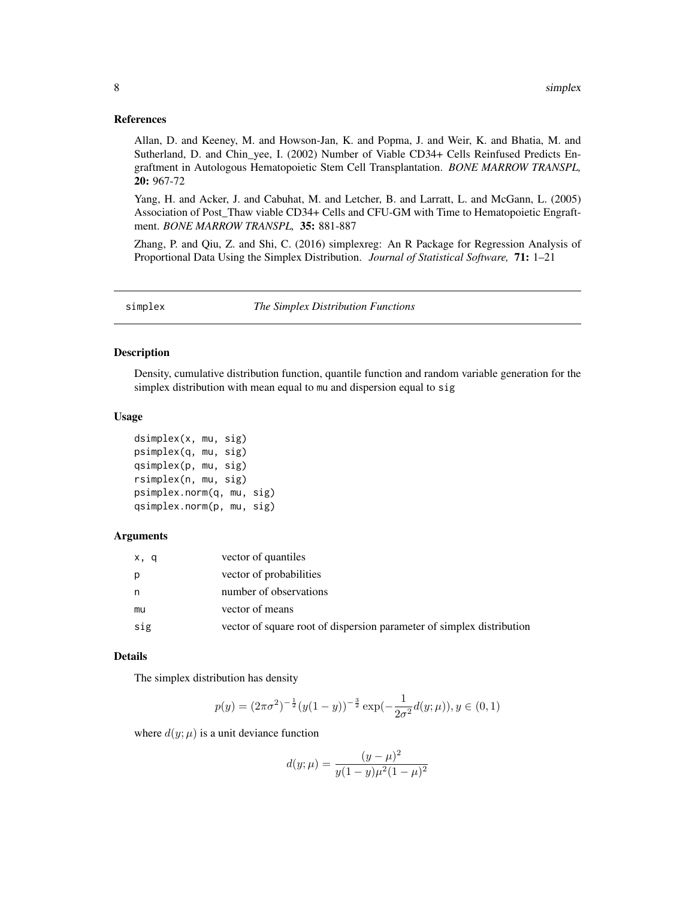# <span id="page-7-0"></span>References

Allan, D. and Keeney, M. and Howson-Jan, K. and Popma, J. and Weir, K. and Bhatia, M. and Sutherland, D. and Chin\_yee, I. (2002) Number of Viable CD34+ Cells Reinfused Predicts Engraftment in Autologous Hematopoietic Stem Cell Transplantation. *BONE MARROW TRANSPL,* 20: 967-72

Yang, H. and Acker, J. and Cabuhat, M. and Letcher, B. and Larratt, L. and McGann, L. (2005) Association of Post\_Thaw viable CD34+ Cells and CFU-GM with Time to Hematopoietic Engraftment. *BONE MARROW TRANSPL,* 35: 881-887

Zhang, P. and Qiu, Z. and Shi, C. (2016) simplexreg: An R Package for Regression Analysis of Proportional Data Using the Simplex Distribution. *Journal of Statistical Software,* 71: 1–21

<span id="page-7-1"></span>

| simplex | The Simplex Distribution Functions |  |
|---------|------------------------------------|--|
|---------|------------------------------------|--|

#### Description

Density, cumulative distribution function, quantile function and random variable generation for the simplex distribution with mean equal to mu and dispersion equal to sig

# Usage

```
dsimplex(x, mu, sig)
psimplex(q, mu, sig)
qsimplex(p, mu, sig)
rsimplex(n, mu, sig)
psimplex.norm(q, mu, sig)
qsimplex.norm(p, mu, sig)
```
# Arguments

| x, q | vector of quantiles                                                   |
|------|-----------------------------------------------------------------------|
| p    | vector of probabilities                                               |
| n    | number of observations                                                |
| mu   | vector of means                                                       |
| sig  | vector of square root of dispersion parameter of simplex distribution |

# Details

The simplex distribution has density

$$
p(y) = (2\pi\sigma^2)^{-\frac{1}{2}}(y(1-y))^{-\frac{3}{2}}\exp(-\frac{1}{2\sigma^2}d(y;\mu)), y \in (0,1)
$$

where  $d(y; \mu)$  is a unit deviance function

$$
d(y; \mu) = \frac{(y - \mu)^2}{y(1 - y)\mu^2(1 - \mu)^2}
$$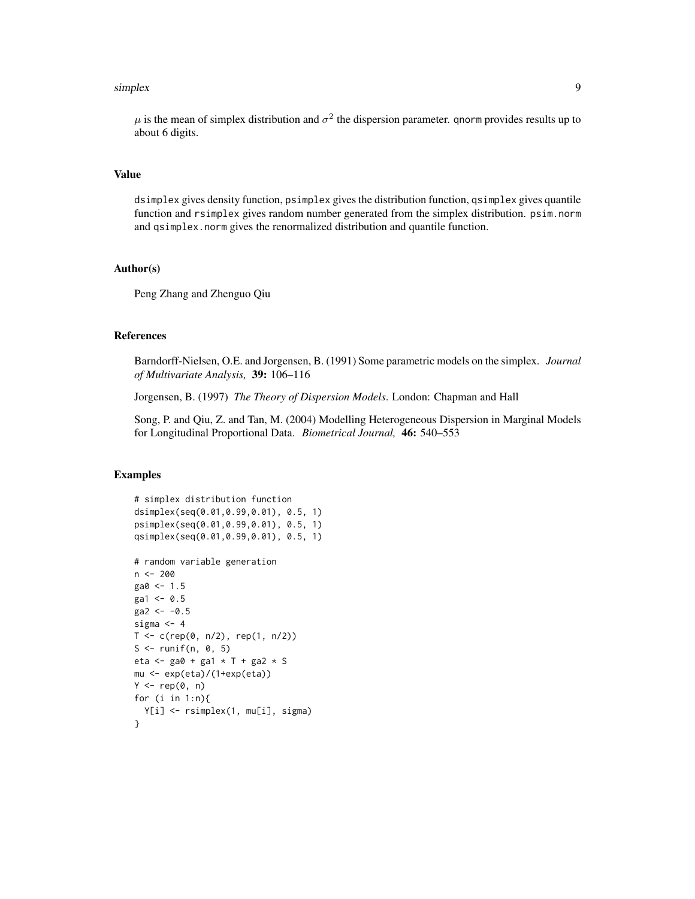#### simplex 9

 $\mu$  is the mean of simplex distribution and  $\sigma^2$  the dispersion parameter. qnorm provides results up to about 6 digits.

# Value

dsimplex gives density function, psimplex gives the distribution function, qsimplex gives quantile function and rsimplex gives random number generated from the simplex distribution. psim.norm and qsimplex.norm gives the renormalized distribution and quantile function.

# Author(s)

Peng Zhang and Zhenguo Qiu

# References

Barndorff-Nielsen, O.E. and Jorgensen, B. (1991) Some parametric models on the simplex. *Journal of Multivariate Analysis,* 39: 106–116

Jorgensen, B. (1997) *The Theory of Dispersion Models*. London: Chapman and Hall

Song, P. and Qiu, Z. and Tan, M. (2004) Modelling Heterogeneous Dispersion in Marginal Models for Longitudinal Proportional Data. *Biometrical Journal,* 46: 540–553

```
# simplex distribution function
dsimplex(seq(0.01,0.99,0.01), 0.5, 1)
psimplex(seq(0.01,0.99,0.01), 0.5, 1)
qsimplex(seq(0.01,0.99,0.01), 0.5, 1)
# random variable generation
n < -200\text{ga0} <- 1.5
\text{ga1} <- 0.5
\text{ga2} <- -0.5
sigma <- 4
T < -c(rep(0, n/2), rep(1, n/2))
S \le runif(n, 0, 5)
eta <- ga0 + ga1 * T + ga2 * S
mu <- exp(eta)/(1+exp(eta))
Y \leftarrow rep(\emptyset, n)for (i in 1:n){
  Y[i] <- rsimplex(1, mu[i], sigma)
}
```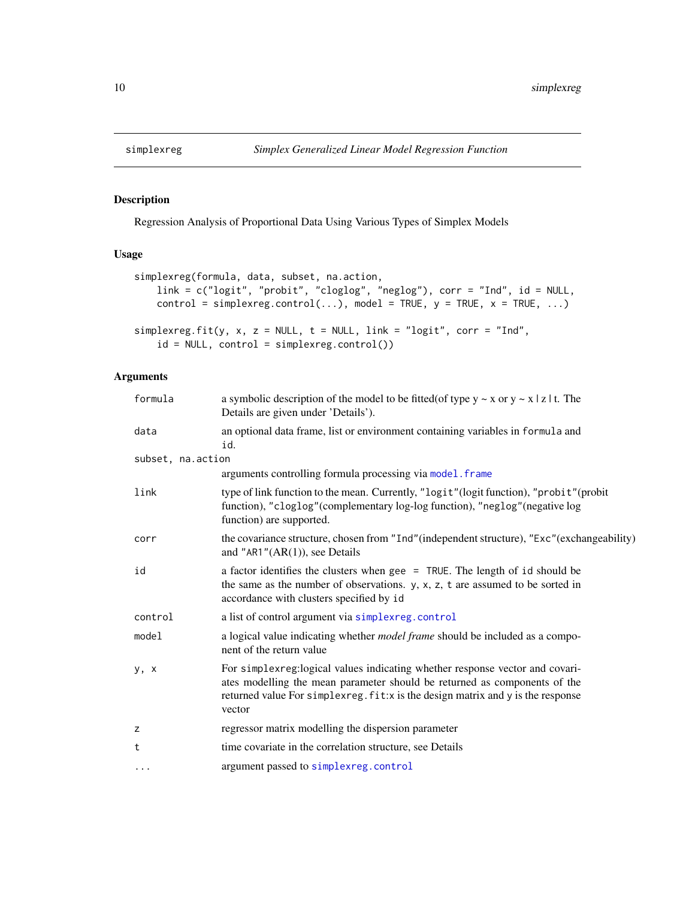<span id="page-9-1"></span><span id="page-9-0"></span>

# Description

Regression Analysis of Proportional Data Using Various Types of Simplex Models

# Usage

```
simplexreg(formula, data, subset, na.action,
   link = c("logit", "probit", "cloglog", "neglog"), corr = "Ind", id = NULL,
   control = simplexreg.control(...), model = TRUE, y = TRUE, x = TRUE, ...)
simplexreg.fit(y, x, z = NULL, t = NULL, link = "logit", corr = "Ind",
   id = NULL, control = simplexreg.control())
```
# Arguments

| formula           | a symbolic description of the model to be fitted (of type $y \sim x$ or $y \sim x \mid z \mid t$ . The<br>Details are given under 'Details').                                                                                                            |
|-------------------|----------------------------------------------------------------------------------------------------------------------------------------------------------------------------------------------------------------------------------------------------------|
| data              | an optional data frame, list or environment containing variables in formula and<br>id.                                                                                                                                                                   |
| subset, na.action |                                                                                                                                                                                                                                                          |
|                   | arguments controlling formula processing via model. frame                                                                                                                                                                                                |
| link              | type of link function to the mean. Currently, "logit" (logit function), "probit" (probit<br>function), "cloglog"(complementary log-log function), "neglog"(negative log<br>function) are supported.                                                      |
| corr              | the covariance structure, chosen from "Ind" (independent structure), "Exc" (exchangeability)<br>and "AR1" $(AR(1))$ , see Details                                                                                                                        |
| id                | a factor identifies the clusters when gee = TRUE. The length of id should be<br>the same as the number of observations. $y$ , $x$ , $z$ , $t$ are assumed to be sorted in<br>accordance with clusters specified by id                                    |
| control           | a list of control argument via simplexreg.control                                                                                                                                                                                                        |
| model             | a logical value indicating whether <i>model frame</i> should be included as a compo-<br>nent of the return value                                                                                                                                         |
| y, x              | For simplexreg:logical values indicating whether response vector and covari-<br>ates modelling the mean parameter should be returned as components of the<br>returned value For simplex reg. fit: x is the design matrix and y is the response<br>vector |
| Z                 | regressor matrix modelling the dispersion parameter                                                                                                                                                                                                      |
| t                 | time covariate in the correlation structure, see Details                                                                                                                                                                                                 |
| $\cdots$          | argument passed to simplexreg.control                                                                                                                                                                                                                    |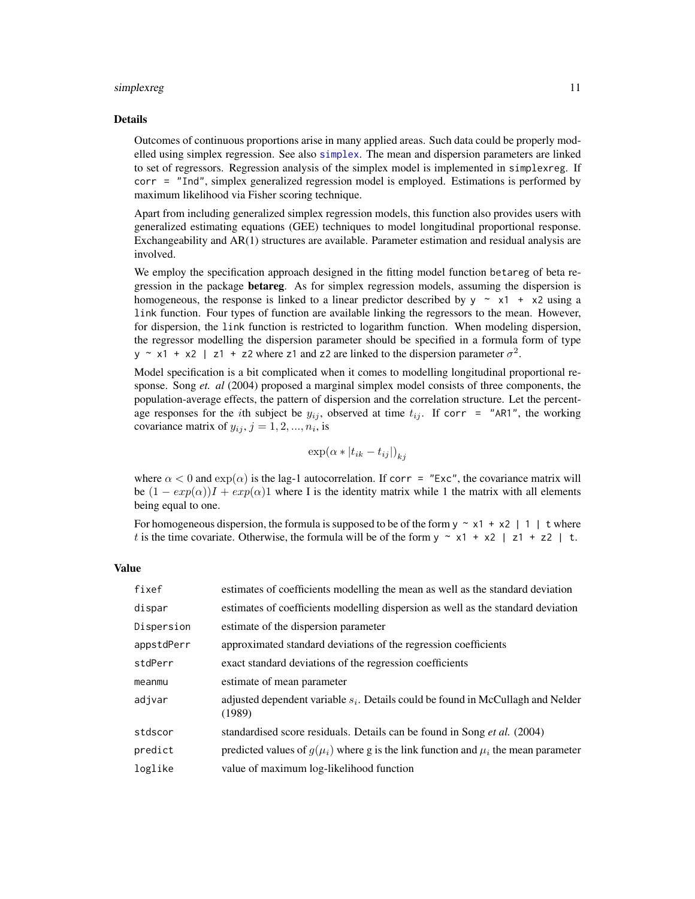#### <span id="page-10-0"></span>simplexreg that the state of the state of the state of the state of the state of the state of the state of the state of the state of the state of the state of the state of the state of the state of the state of the state o

#### Details

Outcomes of continuous proportions arise in many applied areas. Such data could be properly modelled using simplex regression. See also [simplex](#page-7-1). The mean and dispersion parameters are linked to set of regressors. Regression analysis of the simplex model is implemented in simplexreg. If corr = "Ind", simplex generalized regression model is employed. Estimations is performed by maximum likelihood via Fisher scoring technique.

Apart from including generalized simplex regression models, this function also provides users with generalized estimating equations (GEE) techniques to model longitudinal proportional response. Exchangeability and AR(1) structures are available. Parameter estimation and residual analysis are involved.

We employ the specification approach designed in the fitting model function betareg of beta regression in the package **betareg**. As for simplex regression models, assuming the dispersion is homogeneous, the response is linked to a linear predictor described by  $y \sim x1 + x2$  using a link function. Four types of function are available linking the regressors to the mean. However, for dispersion, the link function is restricted to logarithm function. When modeling dispersion, the regressor modelling the dispersion parameter should be specified in a formula form of type y ~ x1 + x2 | z1 + z2 where z1 and z2 are linked to the dispersion parameter  $\sigma^2$ .

Model specification is a bit complicated when it comes to modelling longitudinal proportional response. Song *et. al* (2004) proposed a marginal simplex model consists of three components, the population-average effects, the pattern of dispersion and the correlation structure. Let the percentage responses for the *i*th subject be  $y_{ij}$ , observed at time  $t_{ij}$ . If corr = "AR1", the working covariance matrix of  $y_{ij}$ ,  $j = 1, 2, ..., n_i$ , is

$$
\exp(\alpha * |t_{ik} - t_{ij}|)_{kj}
$$

where  $\alpha < 0$  and  $\exp(\alpha)$  is the lag-1 autocorrelation. If corr = "Exc", the covariance matrix will be  $(1 - exp(\alpha))I + exp(\alpha)I$  where I is the identity matrix while 1 the matrix with all elements being equal to one.

For homogeneous dispersion, the formula is supposed to be of the form  $y \sim x1 + x2$  | 1 | t where t is the time covariate. Otherwise, the formula will be of the form  $y \sim x1 + x2$  | z1 + z2 | t.

#### Value

| fixef      | estimates of coefficients modelling the mean as well as the standard deviation               |
|------------|----------------------------------------------------------------------------------------------|
| dispar     | estimates of coefficients modelling dispersion as well as the standard deviation             |
| Dispersion | estimate of the dispersion parameter                                                         |
| appstdPerr | approximated standard deviations of the regression coefficients                              |
| stdPerr    | exact standard deviations of the regression coefficients                                     |
| meanmu     | estimate of mean parameter                                                                   |
| adjvar     | adjusted dependent variable $s_i$ . Details could be found in McCullagh and Nelder<br>(1989) |
| stdscor    | standardised score residuals. Details can be found in Song et al. (2004)                     |
| predict    | predicted values of $g(\mu_i)$ where g is the link function and $\mu_i$ the mean parameter   |
| loglike    | value of maximum log-likelihood function                                                     |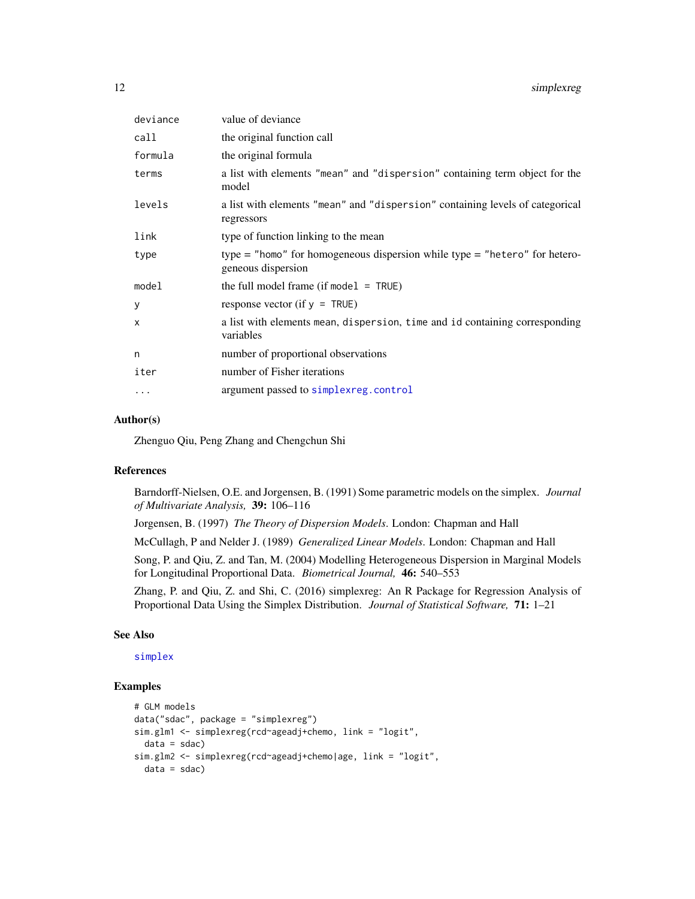<span id="page-11-0"></span>

| 12 | simplexreg |  |
|----|------------|--|
|    |            |  |

| deviance  | value of deviance                                                                                |
|-----------|--------------------------------------------------------------------------------------------------|
| call      | the original function call                                                                       |
| formula   | the original formula                                                                             |
| terms     | a list with elements "mean" and "dispersion" containing term object for the<br>model             |
| levels    | a list with elements "mean" and "dispersion" containing levels of categorical<br>regressors      |
| link      | type of function linking to the mean                                                             |
| type      | type = "homo" for homogeneous dispersion while type = "hetero" for hetero-<br>geneous dispersion |
| model     | the full model frame (if model $=$ TRUE)                                                         |
| y         | response vector (if $y = TRUE$ )                                                                 |
| X         | a list with elements mean, dispersion, time and id containing corresponding<br>variables         |
| n         | number of proportional observations                                                              |
| iter      | number of Fisher iterations                                                                      |
| $\ddotsc$ | argument passed to simplexreg.control                                                            |

# Author(s)

Zhenguo Qiu, Peng Zhang and Chengchun Shi

#### References

Barndorff-Nielsen, O.E. and Jorgensen, B. (1991) Some parametric models on the simplex. *Journal of Multivariate Analysis,* 39: 106–116

Jorgensen, B. (1997) *The Theory of Dispersion Models*. London: Chapman and Hall

McCullagh, P and Nelder J. (1989) *Generalized Linear Models*. London: Chapman and Hall

Song, P. and Qiu, Z. and Tan, M. (2004) Modelling Heterogeneous Dispersion in Marginal Models for Longitudinal Proportional Data. *Biometrical Journal,* 46: 540–553

Zhang, P. and Qiu, Z. and Shi, C. (2016) simplexreg: An R Package for Regression Analysis of Proportional Data Using the Simplex Distribution. *Journal of Statistical Software,* 71: 1–21

# See Also

[simplex](#page-7-1)

```
# GLM models
data("sdac", package = "simplexreg")
sim.glm1 <- simplexreg(rcd~ageadj+chemo, link = "logit",
  data = sdac)sim.glm2 <- simplexreg(rcd~ageadj+chemo|age, link = "logit",
  data = sdac)
```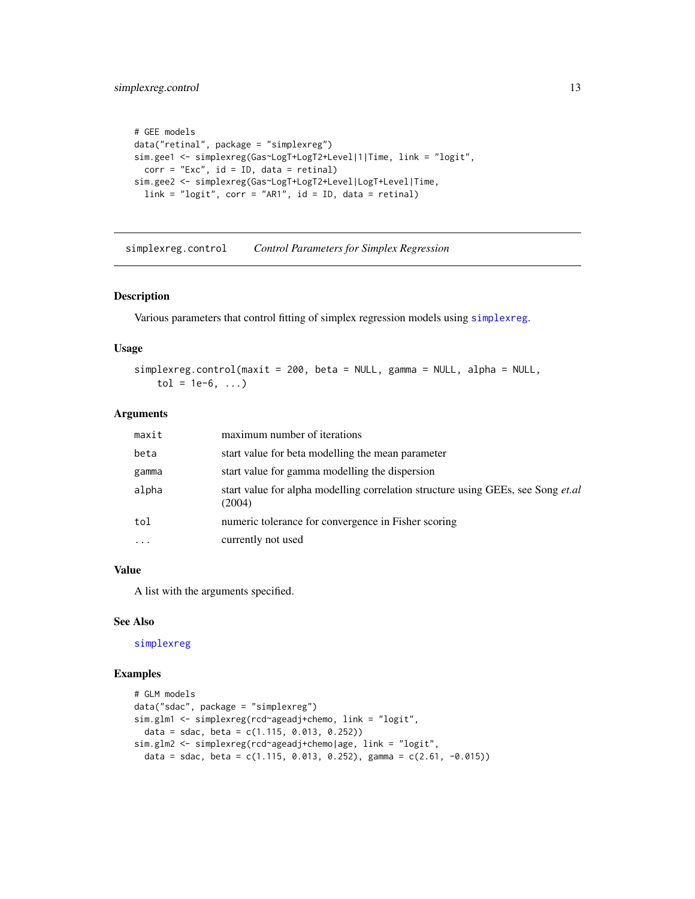# <span id="page-12-0"></span>simplexreg.control 13

```
# GEE models
data("retinal", package = "simplexreg")
sim.gee1 <- simplexreg(Gas~LogT+LogT2+Level|1|Time, link = "logit",
 corr = "Exc", id = ID, data = retinal)sim.gee2 <- simplexreg(Gas~LogT+LogT2+Level|LogT+Level|Time,
 link = "logit", corr = "ARI", id = ID, data = retinal)
```
<span id="page-12-1"></span>simplexreg.control *Control Parameters for Simplex Regression*

#### Description

Various parameters that control fitting of simplex regression models using [simplexreg](#page-9-1).

# Usage

```
simplexreg.control(maxit = 200, beta = NULL, gamma = NULL, alpha = NULL,
   tol = 1e-6, ...
```
# Arguments

| start value for beta modelling the mean parameter<br>beta<br>start value for gamma modelling the dispersion<br>gamma<br>alpha<br>(2004)<br>numeric tolerance for convergence in Fisher scoring<br>tol<br>currently not used<br>$\cdots$ | maxit | maximum number of iterations                                                            |
|-----------------------------------------------------------------------------------------------------------------------------------------------------------------------------------------------------------------------------------------|-------|-----------------------------------------------------------------------------------------|
|                                                                                                                                                                                                                                         |       |                                                                                         |
|                                                                                                                                                                                                                                         |       |                                                                                         |
|                                                                                                                                                                                                                                         |       | start value for alpha modelling correlation structure using GEEs, see Song <i>et.al</i> |
|                                                                                                                                                                                                                                         |       |                                                                                         |
|                                                                                                                                                                                                                                         |       |                                                                                         |

# Value

A list with the arguments specified.

#### See Also

[simplexreg](#page-9-1)

```
# GLM models
data("sdac", package = "simplexreg")
sim.glm1 <- simplexreg(rcd~ageadj+chemo, link = "logit",
  data = sdac, beta = c(1.115, 0.013, 0.252)sim.glm2 <- simplexreg(rcd~ageadj+chemo|age, link = "logit",
  data = sdac, beta = c(1.115, 0.013, 0.252), gamma = c(2.61, -0.015))
```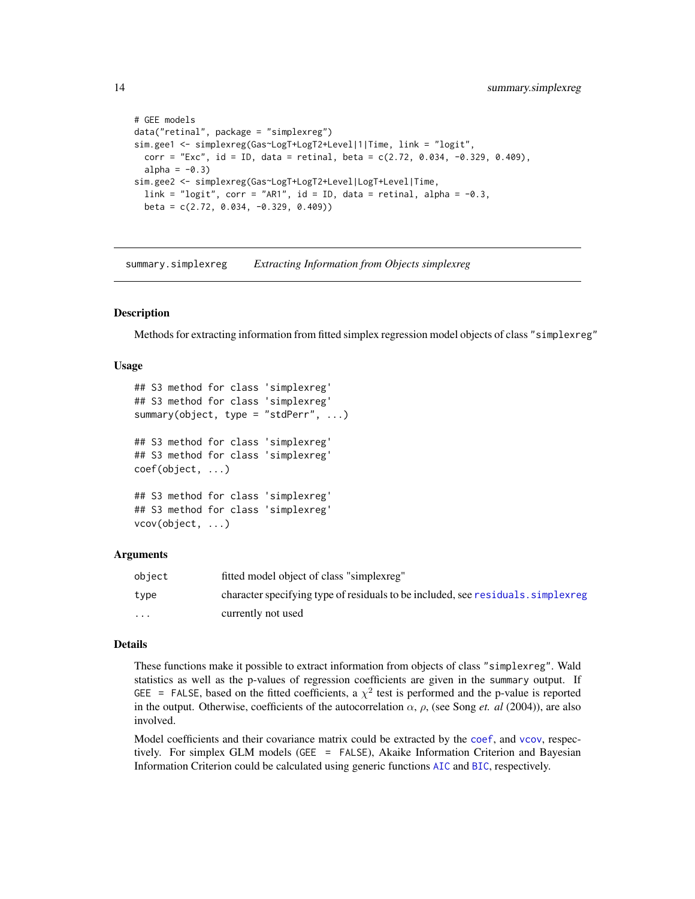```
# GEE models
data("retinal", package = "simplexreg")
sim.gee1 <- simplexreg(Gas~LogT+LogT2+Level|1|Time, link = "logit",
 corr = "Exc", id = ID, data = retinal, beta = c(2.72, 0.034, -0.329, 0.409),alpha = -0.3)
sim.gee2 <- simplexreg(Gas~LogT+LogT2+Level|LogT+Level|Time,
 link = "logit", corr = "AR1", id = ID, data = retinal, alpha = -0.3,
 beta = c(2.72, 0.034, -0.329, 0.409))
```
<span id="page-13-1"></span>summary.simplexreg *Extracting Information from Objects simplexreg*

#### **Description**

Methods for extracting information from fitted simplex regression model objects of class "simplexreg"

#### Usage

```
## S3 method for class 'simplexreg'
## S3 method for class 'simplexreg'
summary(object, type = "stdPerr", ...)
## S3 method for class 'simplexreg'
## S3 method for class 'simplexreg'
coef(object, ...)
## S3 method for class 'simplexreg'
## S3 method for class 'simplexreg'
vcov(object, ...)
```
# Arguments

| obiect | fitted model object of class "simplexreg"                                         |
|--------|-----------------------------------------------------------------------------------|
| type   | character specifying type of residuals to be included, see residuals. simplex reg |
| .      | currently not used                                                                |

#### Details

These functions make it possible to extract information from objects of class "simplexreg". Wald statistics as well as the p-values of regression coefficients are given in the summary output. If GEE = FALSE, based on the fitted coefficients, a  $\chi^2$  test is performed and the p-value is reported in the output. Otherwise, coefficients of the autocorrelation  $\alpha$ ,  $\rho$ , (see Song *et. al* (2004)), are also involved.

Model [coef](#page-0-0)ficients and their covariance matrix could be extracted by the coef, and [vcov](#page-0-0), respectively. For simplex GLM models (GEE = FALSE), Akaike Information Criterion and Bayesian Information Criterion could be calculated using generic functions [AIC](#page-0-0) and [BIC](#page-0-0), respectively.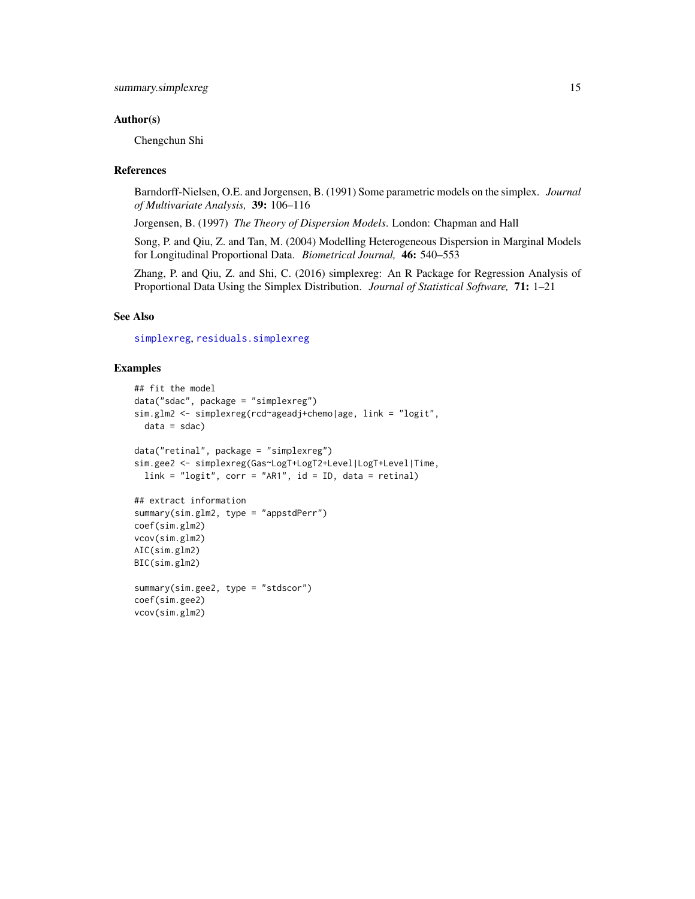# <span id="page-14-0"></span>Author(s)

Chengchun Shi

# References

Barndorff-Nielsen, O.E. and Jorgensen, B. (1991) Some parametric models on the simplex. *Journal of Multivariate Analysis,* 39: 106–116

Jorgensen, B. (1997) *The Theory of Dispersion Models*. London: Chapman and Hall

Song, P. and Qiu, Z. and Tan, M. (2004) Modelling Heterogeneous Dispersion in Marginal Models for Longitudinal Proportional Data. *Biometrical Journal,* 46: 540–553

Zhang, P. and Qiu, Z. and Shi, C. (2016) simplexreg: An R Package for Regression Analysis of Proportional Data Using the Simplex Distribution. *Journal of Statistical Software,* 71: 1–21

# See Also

[simplexreg](#page-9-1), [residuals.simplexreg](#page-3-1)

```
## fit the model
data("sdac", package = "simplexreg")
sim.glm2 <- simplexreg(rcd~ageadj+chemo|age, link = "logit",
  data = sdac)data("retinal", package = "simplexreg")
sim.gee2 <- simplexreg(Gas~LogT+LogT2+Level|LogT+Level|Time,
  link = "logit", corr = "AR1", id = ID, data = retinal)## extract information
summary(sim.glm2, type = "appstdPerr")
coef(sim.glm2)
vcov(sim.glm2)
AIC(sim.glm2)
BIC(sim.glm2)
summary(sim.gee2, type = "stdscor")
coef(sim.gee2)
vcov(sim.glm2)
```